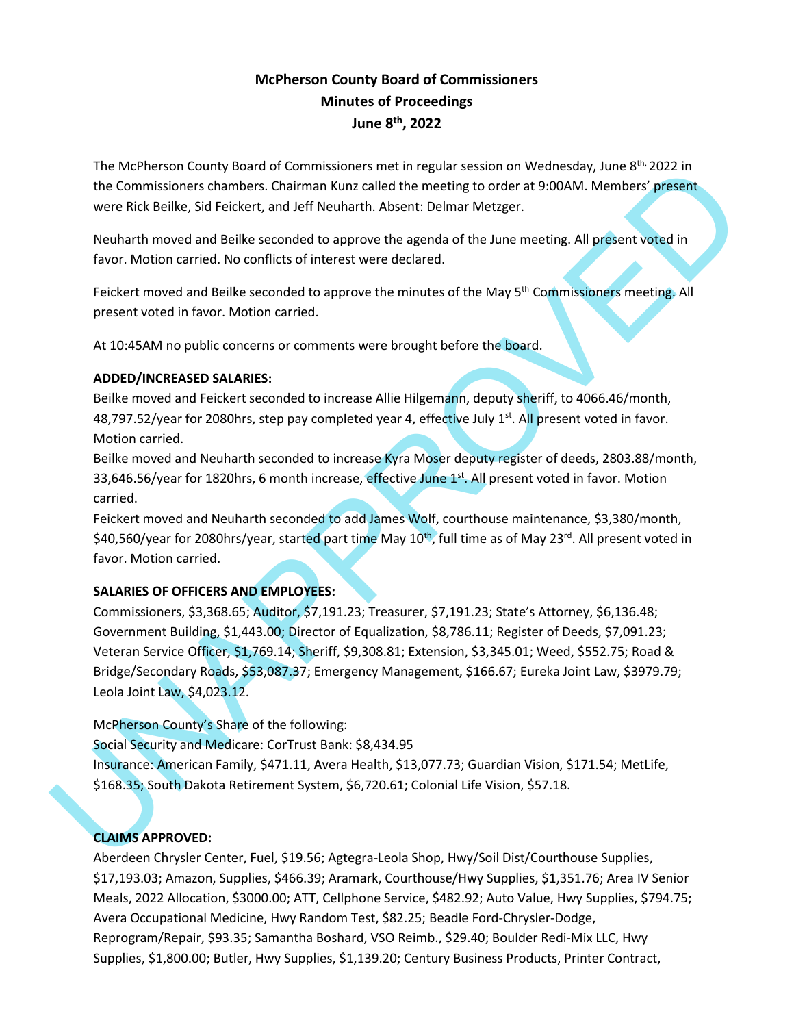# **McPherson County Board of Commissioners Minutes of Proceedings June 8th , 2022**

The McPherson County Board of Commissioners met in regular session on Wednesday, June  $8^{th}$ , 2022 in the Commissioners chambers. Chairman Kunz called the meeting to order at 9:00AM. Members' present were Rick Beilke, Sid Feickert, and Jeff Neuharth. Absent: Delmar Metzger.

Neuharth moved and Beilke seconded to approve the agenda of the June meeting. All present voted in favor. Motion carried. No conflicts of interest were declared.

Feickert moved and Beilke seconded to approve the minutes of the May 5<sup>th</sup> Commissioners meeting. All present voted in favor. Motion carried.

At 10:45AM no public concerns or comments were brought before the board.

## **ADDED/INCREASED SALARIES:**

Beilke moved and Feickert seconded to increase Allie Hilgemann, deputy sheriff, to 4066.46/month, 48,797.52/year for 2080hrs, step pay completed year 4, effective July 1<sup>st</sup>. All present voted in favor. Motion carried.

Beilke moved and Neuharth seconded to increase Kyra Moser deputy register of deeds, 2803.88/month, 33,646.56/year for 1820hrs, 6 month increase, effective June 1st. All present voted in favor. Motion carried.

Feickert moved and Neuharth seconded to add James Wolf, courthouse maintenance, \$3,380/month, \$40,560/year for 2080hrs/year, started part time May 10<sup>th</sup>, full time as of May 23<sup>rd</sup>. All present voted in favor. Motion carried.

## **SALARIES OF OFFICERS AND EMPLOYEES:**

The McPiescon County Board of Commissioners met in regular sesson on Wednesday, June 8 - 2002 in<br>the Commissioners channels. Chairman Kunt culled the meeting to order at 9:00AM, Members' present<br>were Rick Bellee, Sid Feick Commissioners, \$3,368.65; Auditor, \$7,191.23; Treasurer, \$7,191.23; State's Attorney, \$6,136.48; Government Building, \$1,443.00; Director of Equalization, \$8,786.11; Register of Deeds, \$7,091.23; Veteran Service Officer, \$1,769.14; Sheriff, \$9,308.81; Extension, \$3,345.01; Weed, \$552.75; Road & Bridge/Secondary Roads, \$53,087.37; Emergency Management, \$166.67; Eureka Joint Law, \$3979.79; Leola Joint Law, \$4,023.12.

McPherson County's Share of the following:

Social Security and Medicare: CorTrust Bank: \$8,434.95 Insurance: American Family, \$471.11, Avera Health, \$13,077.73; Guardian Vision, \$171.54; MetLife, \$168.35; South Dakota Retirement System, \$6,720.61; Colonial Life Vision, \$57.18.

## **CLAIMS APPROVED:**

Aberdeen Chrysler Center, Fuel, \$19.56; Agtegra-Leola Shop, Hwy/Soil Dist/Courthouse Supplies, \$17,193.03; Amazon, Supplies, \$466.39; Aramark, Courthouse/Hwy Supplies, \$1,351.76; Area IV Senior Meals, 2022 Allocation, \$3000.00; ATT, Cellphone Service, \$482.92; Auto Value, Hwy Supplies, \$794.75; Avera Occupational Medicine, Hwy Random Test, \$82.25; Beadle Ford-Chrysler-Dodge, Reprogram/Repair, \$93.35; Samantha Boshard, VSO Reimb., \$29.40; Boulder Redi-Mix LLC, Hwy Supplies, \$1,800.00; Butler, Hwy Supplies, \$1,139.20; Century Business Products, Printer Contract,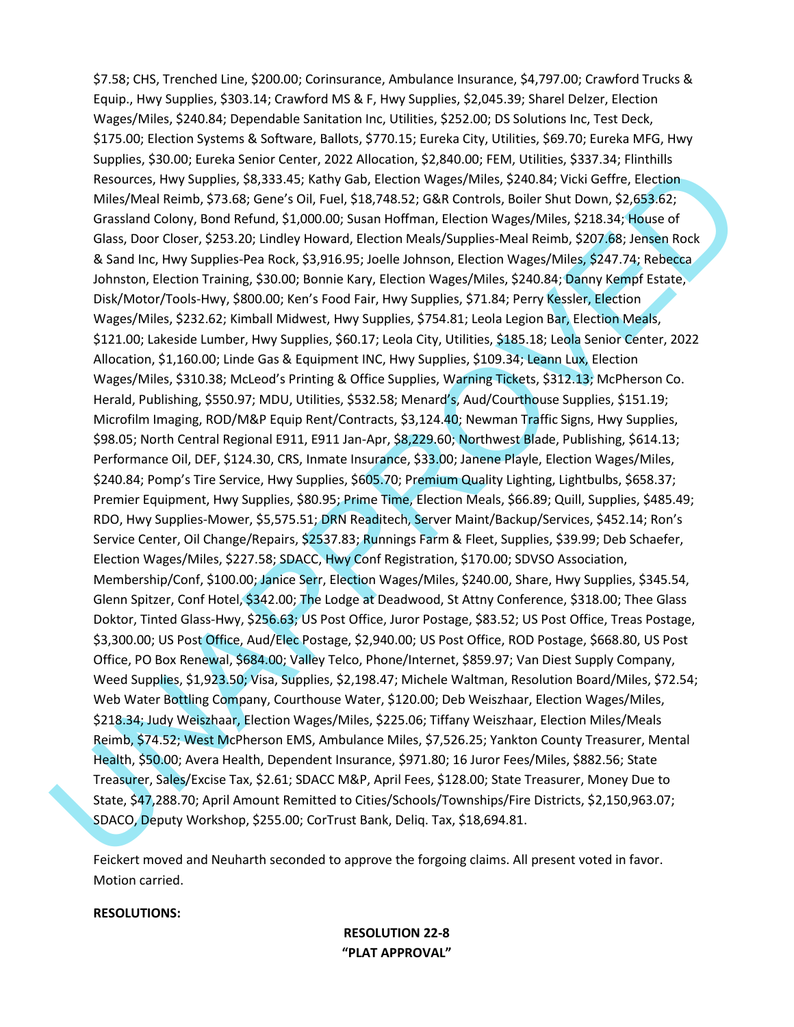Resources, livey Supplies, \$8.333.45; tathy Gab, Piection winges/Miles, \$740.43, vicili Geffre, Pieclion<br>Miles/Meal Resim. \$75.68; Germs: 0.01 Ford. 138.748.52; G&R Cortuos, Beller Shut Owen S2.6936.2;<br>Grassland Geory, Str \$7.58; CHS, Trenched Line, \$200.00; Corinsurance, Ambulance Insurance, \$4,797.00; Crawford Trucks & Equip., Hwy Supplies, \$303.14; Crawford MS & F, Hwy Supplies, \$2,045.39; Sharel Delzer, Election Wages/Miles, \$240.84; Dependable Sanitation Inc, Utilities, \$252.00; DS Solutions Inc, Test Deck, \$175.00; Election Systems & Software, Ballots, \$770.15; Eureka City, Utilities, \$69.70; Eureka MFG, Hwy Supplies, \$30.00; Eureka Senior Center, 2022 Allocation, \$2,840.00; FEM, Utilities, \$337.34; Flinthills Resources, Hwy Supplies, \$8,333.45; Kathy Gab, Election Wages/Miles, \$240.84; Vicki Geffre, Election Miles/Meal Reimb, \$73.68; Gene's Oil, Fuel, \$18,748.52; G&R Controls, Boiler Shut Down, \$2,653.62; Grassland Colony, Bond Refund, \$1,000.00; Susan Hoffman, Election Wages/Miles, \$218.34; House of Glass, Door Closer, \$253.20; Lindley Howard, Election Meals/Supplies-Meal Reimb, \$207.68; Jensen Rock & Sand Inc, Hwy Supplies-Pea Rock, \$3,916.95; Joelle Johnson, Election Wages/Miles, \$247.74; Rebecca Johnston, Election Training, \$30.00; Bonnie Kary, Election Wages/Miles, \$240.84; Danny Kempf Estate, Disk/Motor/Tools-Hwy, \$800.00; Ken's Food Fair, Hwy Supplies, \$71.84; Perry Kessler, Election Wages/Miles, \$232.62; Kimball Midwest, Hwy Supplies, \$754.81; Leola Legion Bar, Election Meals, \$121.00; Lakeside Lumber, Hwy Supplies, \$60.17; Leola City, Utilities, \$185.18; Leola Senior Center, 2022 Allocation, \$1,160.00; Linde Gas & Equipment INC, Hwy Supplies, \$109.34; Leann Lux, Election Wages/Miles, \$310.38; McLeod's Printing & Office Supplies, Warning Tickets, \$312.13; McPherson Co. Herald, Publishing, \$550.97; MDU, Utilities, \$532.58; Menard's, Aud/Courthouse Supplies, \$151.19; Microfilm Imaging, ROD/M&P Equip Rent/Contracts, \$3,124.40; Newman Traffic Signs, Hwy Supplies, \$98.05; North Central Regional E911, E911 Jan-Apr, \$8,229.60; Northwest Blade, Publishing, \$614.13; Performance Oil, DEF, \$124.30, CRS, Inmate Insurance, \$33.00; Janene Playle, Election Wages/Miles, \$240.84; Pomp's Tire Service, Hwy Supplies, \$605.70; Premium Quality Lighting, Lightbulbs, \$658.37; Premier Equipment, Hwy Supplies, \$80.95; Prime Time, Election Meals, \$66.89; Quill, Supplies, \$485.49; RDO, Hwy Supplies-Mower, \$5,575.51; DRN Readitech, Server Maint/Backup/Services, \$452.14; Ron's Service Center, Oil Change/Repairs, \$2537.83; Runnings Farm & Fleet, Supplies, \$39.99; Deb Schaefer, Election Wages/Miles, \$227.58; SDACC, Hwy Conf Registration, \$170.00; SDVSO Association, Membership/Conf, \$100.00; Janice Serr, Election Wages/Miles, \$240.00, Share, Hwy Supplies, \$345.54, Glenn Spitzer, Conf Hotel, \$342.00; The Lodge at Deadwood, St Attny Conference, \$318.00; Thee Glass Doktor, Tinted Glass-Hwy, \$256.63; US Post Office, Juror Postage, \$83.52; US Post Office, Treas Postage, \$3,300.00; US Post Office, Aud/Elec Postage, \$2,940.00; US Post Office, ROD Postage, \$668.80, US Post Office, PO Box Renewal, \$684.00; Valley Telco, Phone/Internet, \$859.97; Van Diest Supply Company, Weed Supplies, \$1,923.50; Visa, Supplies, \$2,198.47; Michele Waltman, Resolution Board/Miles, \$72.54; Web Water Bottling Company, Courthouse Water, \$120.00; Deb Weiszhaar, Election Wages/Miles, \$218.34; Judy Weiszhaar, Election Wages/Miles, \$225.06; Tiffany Weiszhaar, Election Miles/Meals Reimb, \$74.52; West McPherson EMS, Ambulance Miles, \$7,526.25; Yankton County Treasurer, Mental Health, \$50.00; Avera Health, Dependent Insurance, \$971.80; 16 Juror Fees/Miles, \$882.56; State Treasurer, Sales/Excise Tax, \$2.61; SDACC M&P, April Fees, \$128.00; State Treasurer, Money Due to State, \$47,288.70; April Amount Remitted to Cities/Schools/Townships/Fire Districts, \$2,150,963.07; SDACO, Deputy Workshop, \$255.00; CorTrust Bank, Deliq. Tax, \$18,694.81.

Feickert moved and Neuharth seconded to approve the forgoing claims. All present voted in favor. Motion carried.

#### **RESOLUTIONS:**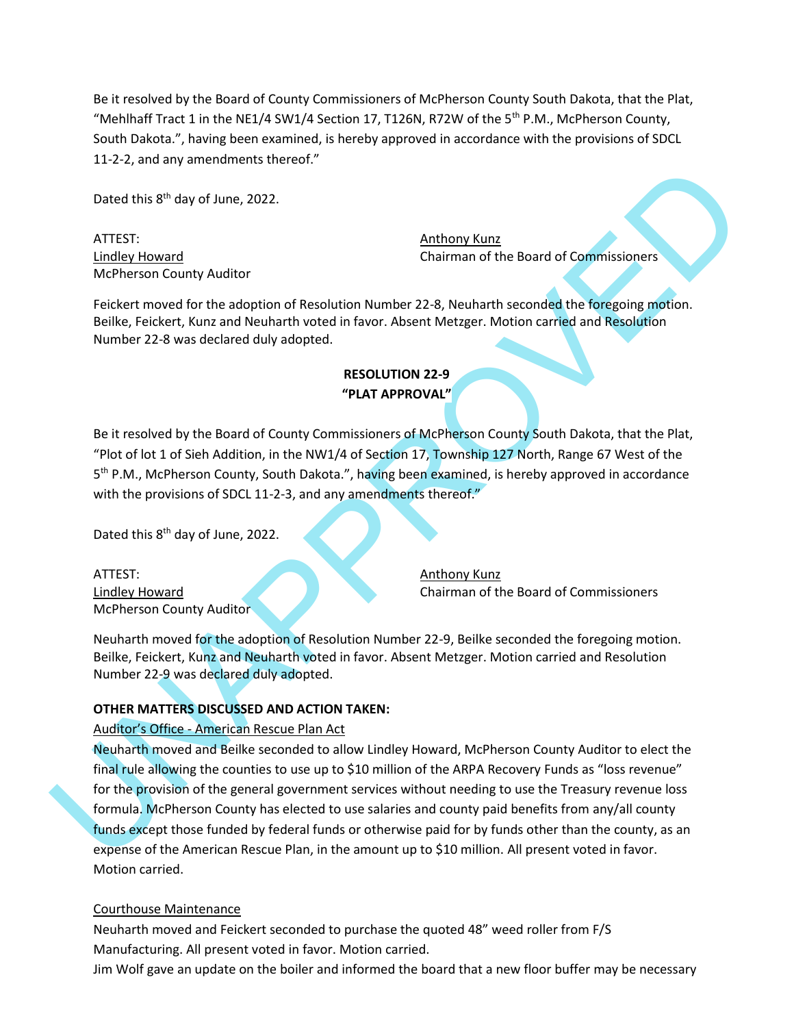Be it resolved by the Board of County Commissioners of McPherson County South Dakota, that the Plat, "Mehlhaff Tract 1 in the NE1/4 SW1/4 Section 17, T126N, R72W of the 5<sup>th</sup> P.M., McPherson County, South Dakota.", having been examined, is hereby approved in accordance with the provisions of SDCL 11-2-2, and any amendments thereof."

Dated this 8<sup>th</sup> day of June, 2022.

ATTEST: Anthony Kunz McPherson County Auditor

Lindley Howard Chairman of the Board of Commissioners

Feickert moved for the adoption of Resolution Number 22-8, Neuharth seconded the foregoing motion. Beilke, Feickert, Kunz and Neuharth voted in favor. Absent Metzger. Motion carried and Resolution Number 22-8 was declared duly adopted.

## **RESOLUTION 22-9 "PLAT APPROVAL"**

Be it resolved by the Board of County Commissioners of McPherson County South Dakota, that the Plat, "Plot of lot 1 of Sieh Addition, in the NW1/4 of Section 17, Township 127 North, Range 67 West of the 5<sup>th</sup> P.M., McPherson County, South Dakota.", having been examined, is hereby approved in accordance with the provisions of SDCL 11-2-3, and any amendments thereof."

Dated this 8<sup>th</sup> day of June, 2022.

ATTEST: Anthony Kunz McPherson County Auditor

Lindley Howard Chairman of the Board of Commissioners

Neuharth moved for the adoption of Resolution Number 22-9, Beilke seconded the foregoing motion. Beilke, Feickert, Kunz and Neuharth voted in favor. Absent Metzger. Motion carried and Resolution Number 22-9 was declared duly adopted.

## **OTHER MATTERS DISCUSSED AND ACTION TAKEN:**

#### Auditor's Office - American Rescue Plan Act

Dute this 8<sup>th</sup> day of June, 2022.<br>
Anthony Kun2<br>
Lindley Howard<br>
MePherson County Auditor<br>
Chairman of the Board of Commissioners<br>
MeDuter, Feichert, moved for the adoption of Resolution Number 22-8, Neutharth seconded th Neuharth moved and Beilke seconded to allow Lindley Howard, McPherson County Auditor to elect the final rule allowing the counties to use up to \$10 million of the ARPA Recovery Funds as "loss revenue" for the provision of the general government services without needing to use the Treasury revenue loss formula. McPherson County has elected to use salaries and county paid benefits from any/all county funds except those funded by federal funds or otherwise paid for by funds other than the county, as an expense of the American Rescue Plan, in the amount up to \$10 million. All present voted in favor. Motion carried.

#### Courthouse Maintenance

Neuharth moved and Feickert seconded to purchase the quoted 48" weed roller from F/S Manufacturing. All present voted in favor. Motion carried.

Jim Wolf gave an update on the boiler and informed the board that a new floor buffer may be necessary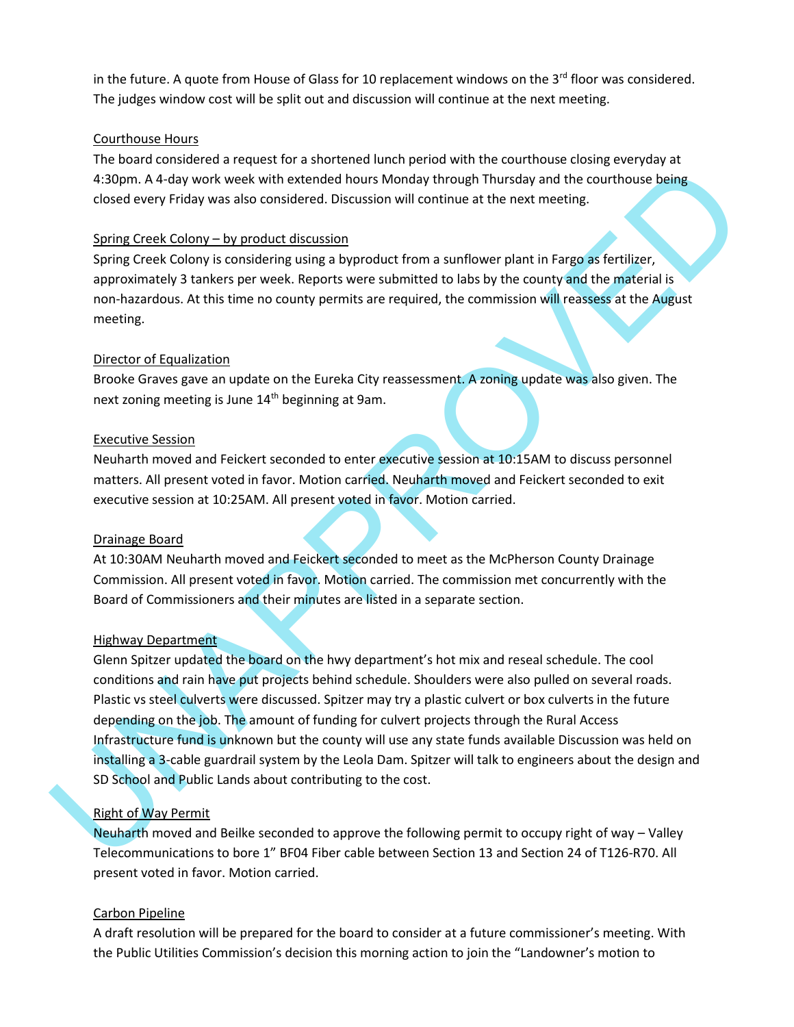in the future. A quote from House of Glass for 10 replacement windows on the 3<sup>rd</sup> floor was considered. The judges window cost will be split out and discussion will continue at the next meeting.

### Courthouse Hours

The board considered a request for a shortened lunch period with the courthouse closing everyday at 4:30pm. A 4-day work week with extended hours Monday through Thursday and the courthouse being closed every Friday was also considered. Discussion will continue at the next meeting.

## Spring Creek Colony – by product discussion

Spring Creek Colony is considering using a byproduct from a sunflower plant in Fargo as fertilizer, approximately 3 tankers per week. Reports were submitted to labs by the county and the material is non-hazardous. At this time no county permits are required, the commission will reassess at the August meeting.

## Director of Equalization

Brooke Graves gave an update on the Eureka City reassessment. A zoning update was also given. The next zoning meeting is June 14<sup>th</sup> beginning at 9am.

#### Executive Session

Neuharth moved and Feickert seconded to enter executive session at 10:15AM to discuss personnel matters. All present voted in favor. Motion carried. Neuharth moved and Feickert seconded to exit executive session at 10:25AM. All present voted in favor. Motion carried.

#### Drainage Board

At 10:30AM Neuharth moved and Feickert seconded to meet as the McPherson County Drainage Commission. All present voted in favor. Motion carried. The commission met concurrently with the Board of Commissioners and their minutes are listed in a separate section.

#### Highway Department

4-33pm. A 4-3by work week with extended hours Monday through Thursday and the courthouse being<br>closed every Friday was also considered. Discussion will commune at the mext meeting.<br>Samily Creek Colory is considered assissi Glenn Spitzer updated the board on the hwy department's hot mix and reseal schedule. The cool conditions and rain have put projects behind schedule. Shoulders were also pulled on several roads. Plastic vs steel culverts were discussed. Spitzer may try a plastic culvert or box culverts in the future depending on the job. The amount of funding for culvert projects through the Rural Access Infrastructure fund is unknown but the county will use any state funds available Discussion was held on installing a 3-cable guardrail system by the Leola Dam. Spitzer will talk to engineers about the design and SD School and Public Lands about contributing to the cost.

## Right of Way Permit

Neuharth moved and Beilke seconded to approve the following permit to occupy right of way – Valley Telecommunications to bore 1" BF04 Fiber cable between Section 13 and Section 24 of T126-R70. All present voted in favor. Motion carried.

#### Carbon Pipeline

A draft resolution will be prepared for the board to consider at a future commissioner's meeting. With the Public Utilities Commission's decision this morning action to join the "Landowner's motion to